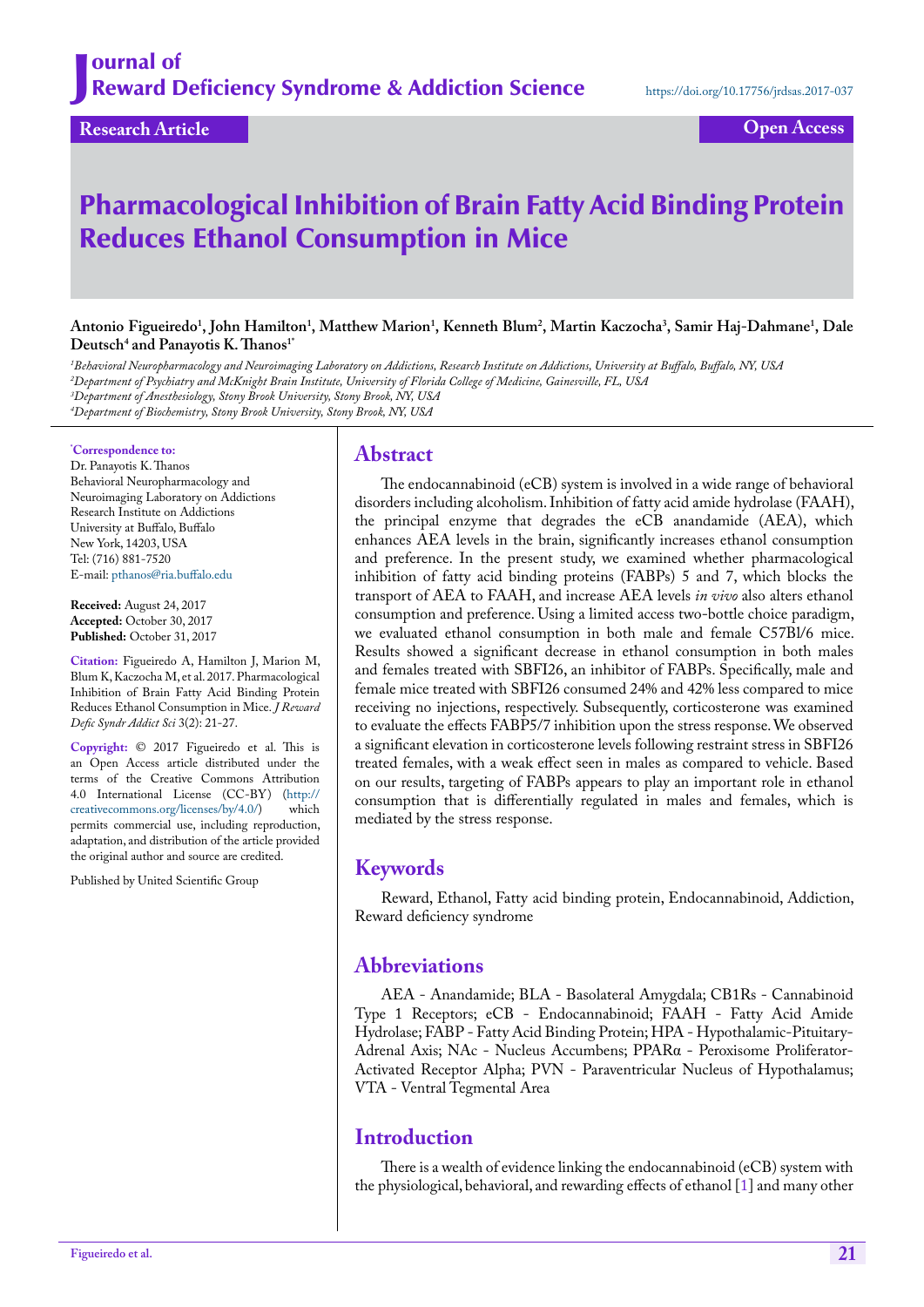# Pharmacological Inhibition of Brain Fatty Acid Binding Protein Reduces Ethanol Consumption in Mice

**Antonio Figueiredo1 , John Hamilton1 , Matthew Marion1 , Kenneth Blum2 , Martin Kaczocha3 , Samir Haj-Dahmane1 , Dale**   $\mathbf{D}$ eutsch<sup>4</sup> and Panayotis K. Thanos<sup>1</sup>

 *Behavioral Neuropharmacology and Neuroimaging Laboratory on Addictions, Research Institute on Addictions, University at Buffalo, Buffalo, NY, USA Department of Psychiatry and McKnight Brain Institute, University of Florida College of Medicine, Gainesville, FL, USA Department of Anesthesiology, Stony Brook University, Stony Brook, NY, USA Department of Biochemistry, Stony Brook University, Stony Brook, NY, USA*

#### **\* Correspondence to:**

Dr. Panayotis K. Thanos Behavioral Neuropharmacology and Neuroimaging Laboratory on Addictions Research Institute on Addictions University at Buffalo, Buffalo New York, 14203, USA Tel: (716) 881-7520 E-mail: [pthanos@ria.buffalo.edu](mailto:pthanos@ria.buffalo.edu)

**Received:** August 24, 2017 **Accepted:** October 30, 2017 **Published:** October 31, 2017

**Citation:** Figueiredo A, Hamilton J, Marion M, Blum K, Kaczocha M, et al. 2017. Pharmacological Inhibition of Brain Fatty Acid Binding Protein Reduces Ethanol Consumption in Mice. *J Reward Defic Syndr Addict Sci* 3(2): 21-27.

**Copyright:** © 2017 Figueiredo et al. This is an Open Access article distributed under the terms of the Creative Commons Attribution 4.0 International License (CC-BY) (http://<br>creativecommons.org/licenses/by/4.0/) which creativecommons.org/licenses/by/4.0/) permits commercial use, including reproduction, adaptation, and distribution of the article provided the original author and source are credited.

Published by United Scientific Group

### **Abstract**

The endocannabinoid (eCB) system is involved in a wide range of behavioral disorders including alcoholism. Inhibition of fatty acid amide hydrolase (FAAH), the principal enzyme that degrades the eCB anandamide (AEA), which enhances AEA levels in the brain, significantly increases ethanol consumption and preference. In the present study, we examined whether pharmacological inhibition of fatty acid binding proteins (FABPs) 5 and 7, which blocks the transport of AEA to FAAH, and increase AEA levels *in vivo* also alters ethanol consumption and preference. Using a limited access two-bottle choice paradigm, we evaluated ethanol consumption in both male and female C57Bl/6 mice. Results showed a significant decrease in ethanol consumption in both males and females treated with SBFI26, an inhibitor of FABPs. Specifically, male and female mice treated with SBFI26 consumed 24% and 42% less compared to mice receiving no injections, respectively. Subsequently, corticosterone was examined to evaluate the effects FABP5/7 inhibition upon the stress response. We observed a significant elevation in corticosterone levels following restraint stress in SBFI26 treated females, with a weak effect seen in males as compared to vehicle. Based on our results, targeting of FABPs appears to play an important role in ethanol consumption that is differentially regulated in males and females, which is mediated by the stress response.

### **Keywords**

Reward, Ethanol, Fatty acid binding protein, Endocannabinoid, Addiction, Reward deficiency syndrome

### **Abbreviations**

AEA - Anandamide; BLA - Basolateral Amygdala; CB1Rs - Cannabinoid Type 1 Receptors; eCB - Endocannabinoid; FAAH - Fatty Acid Amide Hydrolase; FABP - Fatty Acid Binding Protein; HPA - Hypothalamic-Pituitary-Adrenal Axis; NAc - Nucleus Accumbens; PPARα - Peroxisome Proliferator-Activated Receptor Alpha; PVN - Paraventricular Nucleus of Hypothalamus; VTA - Ventral Tegmental Area

### **Introduction**

There is a wealth of evidence linking the endocannabinoid (eCB) system with the physiological, behavioral, and rewarding effects of ethanol [\[1](#page-4-0)] and many other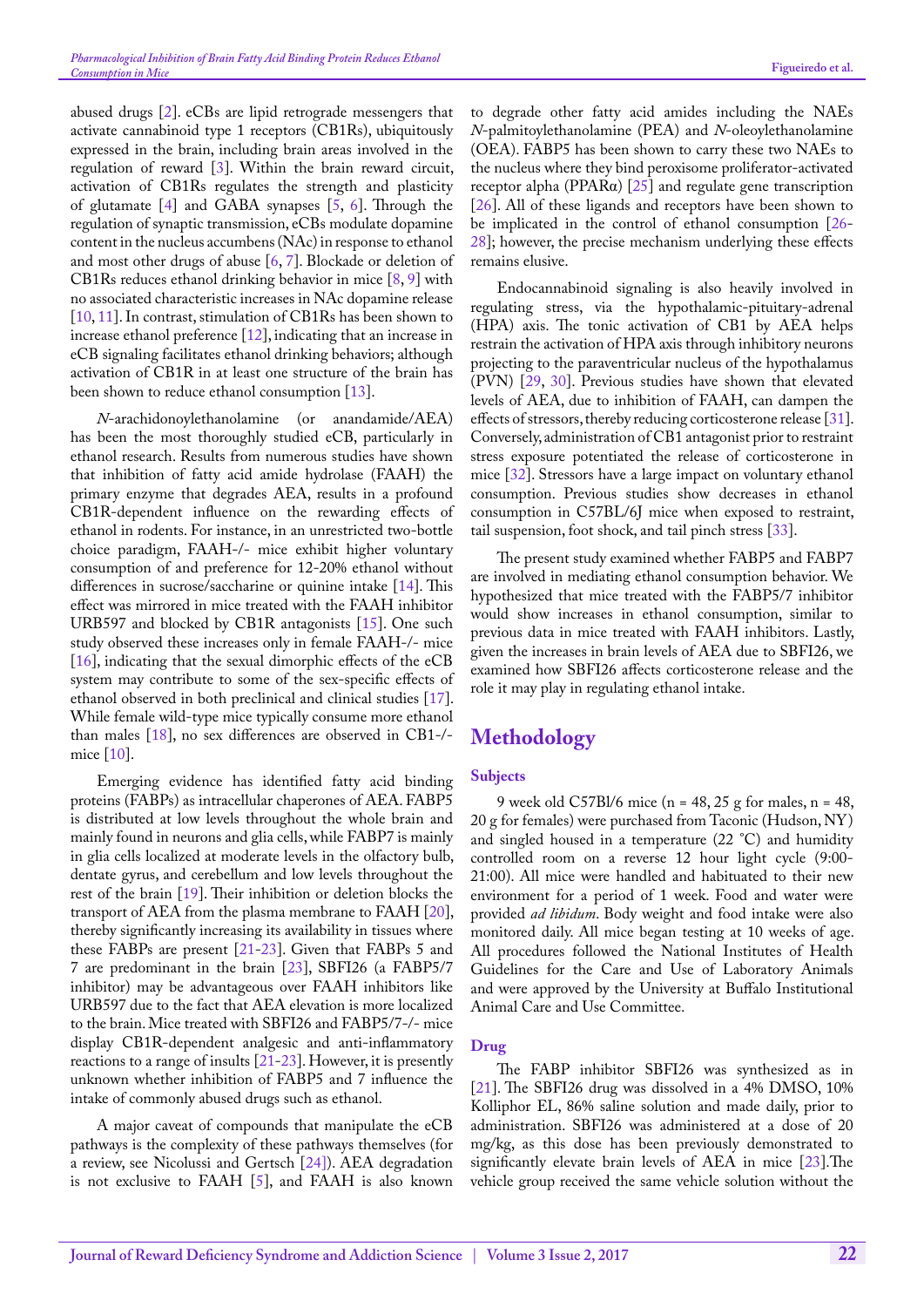abused drugs [[2\]](#page-4-1). eCBs are lipid retrograde messengers that activate cannabinoid type 1 receptors (CB1Rs), ubiquitously expressed in the brain, including brain areas involved in the regulation of reward  $[3]$  $[3]$ . Within the brain reward circuit, activation of CB1Rs regulates the strength and plasticity of glutamate [[4\]](#page-4-3) and GABA synapses [\[5](#page-4-4), [6\]](#page-4-5). Through the regulation of synaptic transmission, eCBs modulate dopamine content in the nucleus accumbens (NAc) in response to ethanol and most other drugs of abuse [\[6](#page-4-5), [7](#page-4-0)]. Blockade or deletion of CB1Rs reduces ethanol drinking behavior in mice [\[8](#page-5-0), [9\]](#page-5-1) with no associated characteristic increases in NAc dopamine release [[10,](#page-5-2) [11](#page-5-3)]. In contrast, stimulation of CB1Rs has been shown to increase ethanol preference [\[12](#page-5-4)], indicating that an increase in eCB signaling facilitates ethanol drinking behaviors; although activation of CB1R in at least one structure of the brain has been shown to reduce ethanol consumption [[13\]](#page-5-5).

*N*-arachidonoylethanolamine (or anandamide/AEA) has been the most thoroughly studied eCB, particularly in ethanol research. Results from numerous studies have shown that inhibition of fatty acid amide hydrolase (FAAH) the primary enzyme that degrades AEA, results in a profound CB1R-dependent influence on the rewarding effects of ethanol in rodents. For instance, in an unrestricted two-bottle choice paradigm, FAAH-/- mice exhibit higher voluntary consumption of and preference for 12-20% ethanol without differences in sucrose/saccharine or quinine intake [[14\]](#page-5-6). This effect was mirrored in mice treated with the FAAH inhibitor URB597 and blocked by CB1R antagonists [\[15](#page-5-7)]. One such study observed these increases only in female FAAH-/- mice  $[16]$  $[16]$ , indicating that the sexual dimorphic effects of the eCB system may contribute to some of the sex-specific effects of ethanol observed in both preclinical and clinical studies [[17\]](#page-5-9). While female wild-type mice typically consume more ethanol than males [[18\]](#page-5-10), no sex differences are observed in CB1-/ mice [[10\]](#page-5-2).

Emerging evidence has identified fatty acid binding proteins (FABPs) as intracellular chaperones of AEA. FABP5 is distributed at low levels throughout the whole brain and mainly found in neurons and glia cells, while FABP7 is mainly in glia cells localized at moderate levels in the olfactory bulb, dentate gyrus, and cerebellum and low levels throughout the rest of the brain [[19\]](#page-5-11). Their inhibition or deletion blocks the transport of AEA from the plasma membrane to FAAH [[20\]](#page-5-12), thereby significantly increasing its availability in tissues where these FABPs are present [\[21](#page-5-13)[-23](#page-5-14)]. Given that FABPs 5 and 7 are predominant in the brain [\[23](#page-5-14)], SBFI26 (a FABP5/7 inhibitor) may be advantageous over FAAH inhibitors like URB597 due to the fact that AEA elevation is more localized to the brain. Mice treated with SBFI26 and FABP5/7-/- mice display CB1R-dependent analgesic and anti-inflammatory reactions to a range of insults  $[21-23]$  $[21-23]$  $[21-23]$ . However, it is presently unknown whether inhibition of FABP5 and 7 influence the intake of commonly abused drugs such as ethanol.

A major caveat of compounds that manipulate the eCB pathways is the complexity of these pathways themselves (for a review, see Nicolussi and Gertsch [\[24\]\)](#page-5-15). AEA degradation is not exclusive to FAAH [[5\]](#page-4-4), and FAAH is also known

to degrade other fatty acid amides including the NAEs *N*-palmitoylethanolamine (PEA) and *N*-oleoylethanolamine (OEA). FABP5 has been shown to carry these two NAEs to the nucleus where they bind peroxisome proliferator-activated receptor alpha (PPARα) [[25\]](#page-5-16) and regulate gene transcription [[26\]](#page-5-17). All of these ligands and receptors have been shown to be implicated in the control of ethanol consumption [[26-](#page-5-17) [28](#page-5-18)]; however, the precise mechanism underlying these effects remains elusive.

Endocannabinoid signaling is also heavily involved in regulating stress, via the hypothalamic-pituitary-adrenal (HPA) axis. The tonic activation of CB1 by AEA helps restrain the activation of HPA axis through inhibitory neurons projecting to the paraventricular nucleus of the hypothalamus (PVN) [[29,](#page-5-19) [30\]](#page-5-20). Previous studies have shown that elevated levels of AEA, due to inhibition of FAAH, can dampen the effects of stressors, thereby reducing corticosterone release [[31\]](#page-5-21). Conversely, administration of CB1 antagonist prior to restraint stress exposure potentiated the release of corticosterone in mice [[32\]](#page-5-22). Stressors have a large impact on voluntary ethanol consumption. Previous studies show decreases in ethanol consumption in C57BL/6J mice when exposed to restraint, tail suspension, foot shock, and tail pinch stress [[33\]](#page-5-23).

The present study examined whether FABP5 and FABP7 are involved in mediating ethanol consumption behavior. We hypothesized that mice treated with the FABP5/7 inhibitor would show increases in ethanol consumption, similar to previous data in mice treated with FAAH inhibitors. Lastly, given the increases in brain levels of AEA due to SBFI26, we examined how SBFI26 affects corticosterone release and the role it may play in regulating ethanol intake.

# **Methodology**

### **Subjects**

9 week old C57Bl/6 mice (n = 48, 25 g for males, n = 48, 20 g for females) were purchased from Taconic (Hudson, NY) and singled housed in a temperature (22 °C) and humidity controlled room on a reverse 12 hour light cycle (9:00- 21:00). All mice were handled and habituated to their new environment for a period of 1 week. Food and water were provided *ad libidum*. Body weight and food intake were also monitored daily. All mice began testing at 10 weeks of age. All procedures followed the National Institutes of Health Guidelines for the Care and Use of Laboratory Animals and were approved by the University at Buffalo Institutional Animal Care and Use Committee.

### **Drug**

The FABP inhibitor SBFI26 was synthesized as in [[21\]](#page-5-13). The SBFI26 drug was dissolved in a 4% DMSO, 10% Kolliphor EL, 86% saline solution and made daily, prior to administration. SBFI26 was administered at a dose of 20 mg/kg, as this dose has been previously demonstrated to significantly elevate brain levels of AEA in mice [[23\]](#page-5-14).The vehicle group received the same vehicle solution without the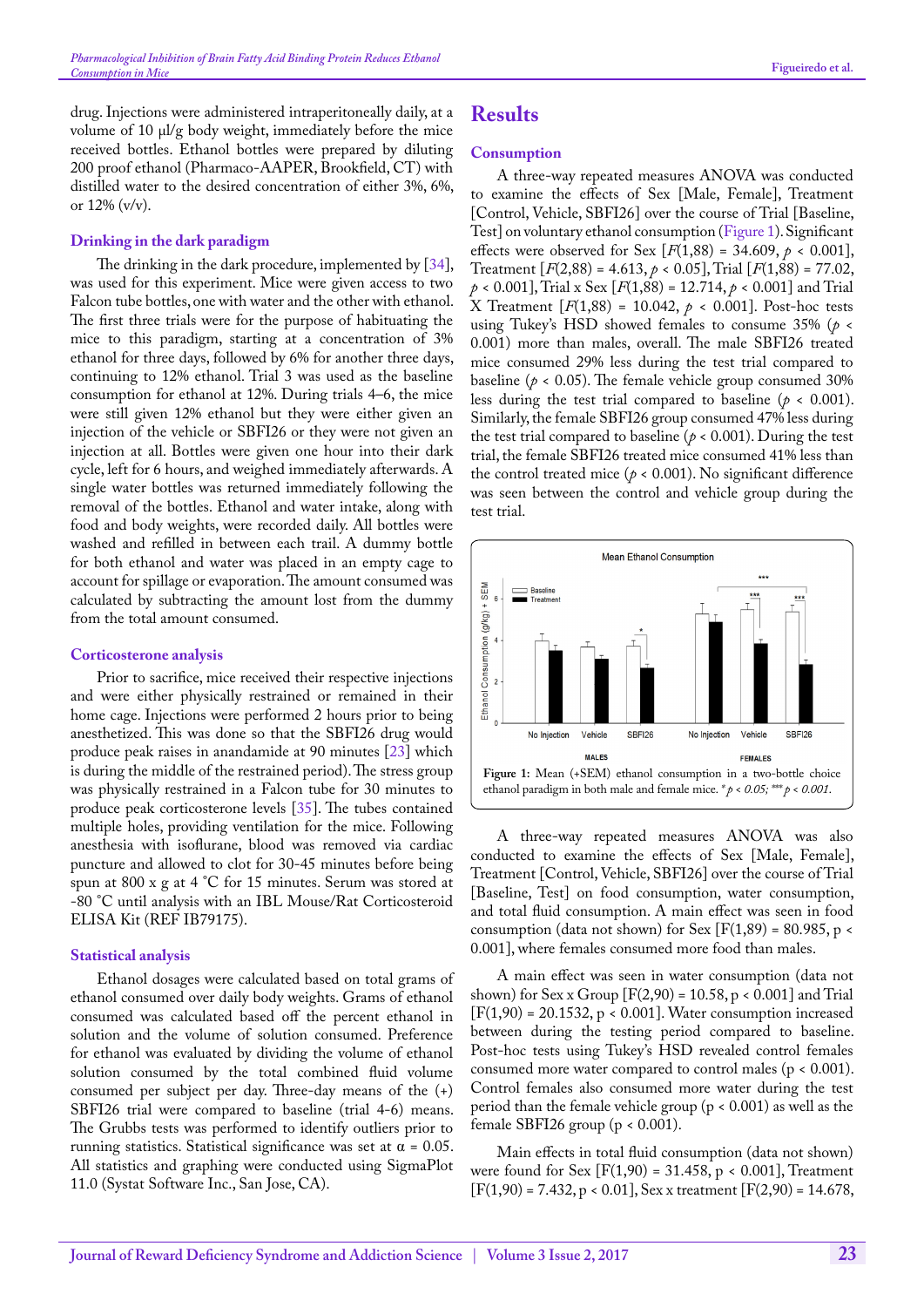drug. Injections were administered intraperitoneally daily, at a volume of 10 μl/g body weight, immediately before the mice received bottles. Ethanol bottles were prepared by diluting 200 proof ethanol (Pharmaco-AAPER, Brookfield, CT) with distilled water to the desired concentration of either 3%, 6%, or 12% (v/v).

#### **Drinking in the dark paradigm**

The drinking in the dark procedure, implemented by [[34\]](#page-5-24), was used for this experiment. Mice were given access to two Falcon tube bottles, one with water and the other with ethanol. The first three trials were for the purpose of habituating the mice to this paradigm, starting at a concentration of 3% ethanol for three days, followed by 6% for another three days, continuing to 12% ethanol. Trial 3 was used as the baseline consumption for ethanol at 12%. During trials 4–6, the mice were still given 12% ethanol but they were either given an injection of the vehicle or SBFI26 or they were not given an injection at all. Bottles were given one hour into their dark cycle, left for 6 hours, and weighed immediately afterwards. A single water bottles was returned immediately following the removal of the bottles. Ethanol and water intake, along with food and body weights, were recorded daily. All bottles were washed and refilled in between each trail. A dummy bottle for both ethanol and water was placed in an empty cage to account for spillage or evaporation. The amount consumed was calculated by subtracting the amount lost from the dummy from the total amount consumed.

#### **Corticosterone analysis**

Prior to sacrifice, mice received their respective injections and were either physically restrained or remained in their home cage. Injections were performed 2 hours prior to being anesthetized. This was done so that the SBFI26 drug would produce peak raises in anandamide at 90 minutes [\[23](#page-5-14)] which is during the middle of the restrained period). The stress group was physically restrained in a Falcon tube for 30 minutes to produce peak corticosterone levels [\[35](#page-5-25)]. The tubes contained multiple holes, providing ventilation for the mice. Following anesthesia with isoflurane, blood was removed via cardiac puncture and allowed to clot for 30-45 minutes before being spun at 800 x g at 4 °C for 15 minutes. Serum was stored at -80 °C until analysis with an IBL Mouse/Rat Corticosteroid ELISA Kit (REF IB79175).

#### **Statistical analysis**

Ethanol dosages were calculated based on total grams of ethanol consumed over daily body weights. Grams of ethanol consumed was calculated based off the percent ethanol in solution and the volume of solution consumed. Preference for ethanol was evaluated by dividing the volume of ethanol solution consumed by the total combined fluid volume consumed per subject per day. Three-day means of the (+) SBFI26 trial were compared to baseline (trial 4-6) means. The Grubbs tests was performed to identify outliers prior to running statistics. Statistical significance was set at  $\alpha = 0.05$ . All statistics and graphing were conducted using SigmaPlot 11.0 (Systat Software Inc., San Jose, CA).

### **Results**

#### **Consumption**

A three-way repeated measures ANOVA was conducted to examine the effects of Sex [Male, Female], Treatment [Control, Vehicle, SBFI26] over the course of Trial [Baseline, Test] on voluntary ethanol consumption [\(Figure 1](#page-2-0)). Significant effects were observed for Sex  $[F(1,88) = 34.609, p < 0.001]$ , Treatment [*F*(2,88) = 4.613, *p* < 0.05], Trial [*F*(1,88) = 77.02,  $p < 0.001$ ], Trial x Sex [ $F(1,88) = 12.714$ ,  $p < 0.001$ ] and Trial X Treatment [*F*(1,88) = 10.042, *p* < 0.001]. Post-hoc tests using Tukey's HSD showed females to consume 35% (*p* < 0.001) more than males, overall. The male SBFI26 treated mice consumed 29% less during the test trial compared to baseline ( $p < 0.05$ ). The female vehicle group consumed 30% less during the test trial compared to baseline ( $p < 0.001$ ). Similarly, the female SBFI26 group consumed 47% less during the test trial compared to baseline ( $p < 0.001$ ). During the test trial, the female SBFI26 treated mice consumed 41% less than the control treated mice ( $p < 0.001$ ). No significant difference was seen between the control and vehicle group during the test trial.



<span id="page-2-0"></span>A three-way repeated measures ANOVA was also conducted to examine the effects of Sex [Male, Female], Treatment [Control, Vehicle, SBFI26] over the course of Trial [Baseline, Test] on food consumption, water consumption, and total fluid consumption. A main effect was seen in food consumption (data not shown) for Sex  $[F(1,89) = 80.985, p \leq 10^{-19}]$ 0.001], where females consumed more food than males.

A main effect was seen in water consumption (data not shown) for Sex x Group  $[F(2,90) = 10.58, p < 0.001]$  and Trial  $[F(1,90) = 20.1532, p < 0.001]$ . Water consumption increased between during the testing period compared to baseline. Post-hoc tests using Tukey's HSD revealed control females consumed more water compared to control males (p < 0.001). Control females also consumed more water during the test period than the female vehicle group ( $p < 0.001$ ) as well as the female SBFI26 group ( $p < 0.001$ ).

Main effects in total fluid consumption (data not shown) were found for Sex  $[F(1,90) = 31.458, p < 0.001]$ , Treatment  $[F(1,90) = 7.432, p < 0.01]$ , Sex x treatment  $[F(2,90) = 14.678$ ,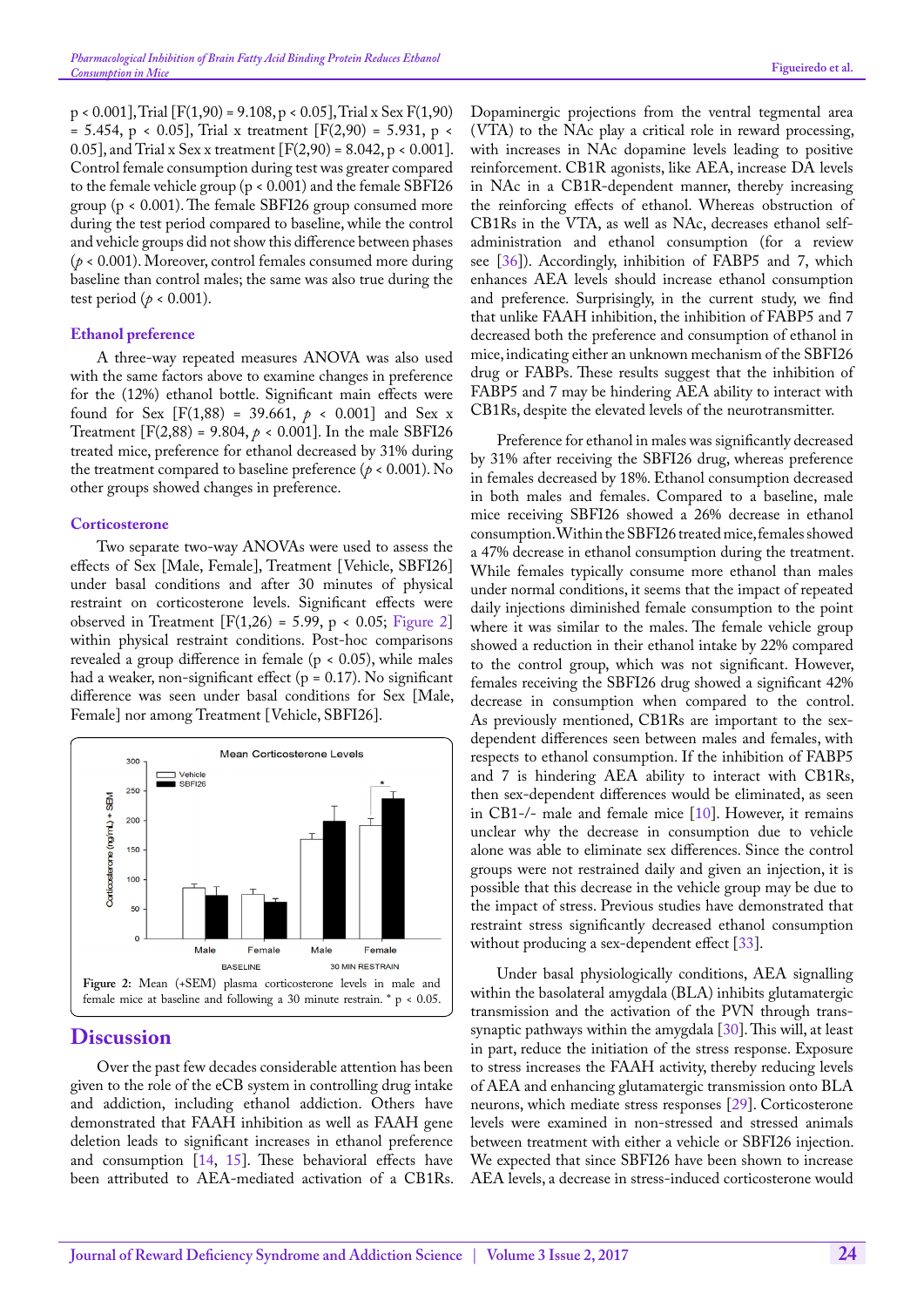p < 0.001], Trial [F(1,90) = 9.108, p < 0.05], Trial x Sex F(1,90)  $= 5.454$ , p < 0.05], Trial x treatment [F(2,90) = 5.931, p < 0.05], and Trial x Sex x treatment  $[F(2,90) = 8.042, p < 0.001]$ . Control female consumption during test was greater compared to the female vehicle group (p < 0.001) and the female SBFI26 group (p < 0.001). The female SBFI26 group consumed more during the test period compared to baseline, while the control and vehicle groups did not show this difference between phases (*p* < 0.001). Moreover, control females consumed more during baseline than control males; the same was also true during the test period ( $p < 0.001$ ).

### **Ethanol preference**

A three-way repeated measures ANOVA was also used with the same factors above to examine changes in preference for the (12%) ethanol bottle. Significant main effects were found for Sex  $[F(1,88) = 39.661, p \times 0.001]$  and Sex x Treatment  $[F(2,88) = 9.804, p < 0.001]$ . In the male SBFI26 treated mice, preference for ethanol decreased by 31% during the treatment compared to baseline preference ( $p < 0.001$ ). No other groups showed changes in preference.

### **Corticosterone**

Two separate two-way ANOVAs were used to assess the effects of Sex [Male, Female], Treatment [Vehicle, SBFI26] under basal conditions and after 30 minutes of physical restraint on corticosterone levels. Significant effects were observed in Treatment  $[F(1,26) = 5.99, p < 0.05;$  [Figure 2](#page-3-0)] within physical restraint conditions. Post-hoc comparisons revealed a group difference in female (p < 0.05), while males had a weaker, non-significant effect ( $p = 0.17$ ). No significant difference was seen under basal conditions for Sex [Male, Female] nor among Treatment [Vehicle, SBFI26].



### <span id="page-3-0"></span>**Discussion**

Over the past few decades considerable attention has been given to the role of the eCB system in controlling drug intake and addiction, including ethanol addiction. Others have demonstrated that FAAH inhibition as well as FAAH gene deletion leads to significant increases in ethanol preference and consumption [[14,](#page-5-6) [15\]](#page-5-7). These behavioral effects have been attributed to AEA-mediated activation of a CB1Rs. Dopaminergic projections from the ventral tegmental area (VTA) to the NAc play a critical role in reward processing, with increases in NAc dopamine levels leading to positive reinforcement. CB1R agonists, like AEA, increase DA levels in NAc in a CB1R-dependent manner, thereby increasing the reinforcing effects of ethanol. Whereas obstruction of CB1Rs in the VTA, as well as NAc, decreases ethanol selfadministration and ethanol consumption (for a review see [[36\]](#page-5-26)). Accordingly, inhibition of FABP5 and 7, which enhances AEA levels should increase ethanol consumption and preference. Surprisingly, in the current study, we find that unlike FAAH inhibition, the inhibition of FABP5 and 7 decreased both the preference and consumption of ethanol in mice, indicating either an unknown mechanism of the SBFI26 drug or FABPs. These results suggest that the inhibition of FABP5 and 7 may be hindering AEA ability to interact with CB1Rs, despite the elevated levels of the neurotransmitter.

Preference for ethanol in males was significantly decreased by 31% after receiving the SBFI26 drug, whereas preference in females decreased by 18%. Ethanol consumption decreased in both males and females. Compared to a baseline, male mice receiving SBFI26 showed a 26% decrease in ethanol consumption. Within the SBFI26 treated mice, females showed a 47% decrease in ethanol consumption during the treatment. While females typically consume more ethanol than males under normal conditions, it seems that the impact of repeated daily injections diminished female consumption to the point where it was similar to the males. The female vehicle group showed a reduction in their ethanol intake by 22% compared to the control group, which was not significant. However, females receiving the SBFI26 drug showed a significant 42% decrease in consumption when compared to the control. As previously mentioned, CB1Rs are important to the sexdependent differences seen between males and females, with respects to ethanol consumption. If the inhibition of FABP5 and 7 is hindering AEA ability to interact with CB1Rs, then sex-dependent differences would be eliminated, as seen in CB1-/- male and female mice [\[10](#page-5-2)]. However, it remains unclear why the decrease in consumption due to vehicle alone was able to eliminate sex differences. Since the control groups were not restrained daily and given an injection, it is possible that this decrease in the vehicle group may be due to the impact of stress. Previous studies have demonstrated that restraint stress significantly decreased ethanol consumption without producing a sex-dependent effect [[33\]](#page-5-23).

Under basal physiologically conditions, AEA signalling within the basolateral amygdala (BLA) inhibits glutamatergic transmission and the activation of the PVN through transsynaptic pathways within the amygdala [[30\]](#page-5-20). This will, at least in part, reduce the initiation of the stress response. Exposure to stress increases the FAAH activity, thereby reducing levels of AEA and enhancing glutamatergic transmission onto BLA neurons, which mediate stress responses [[29\]](#page-5-19). Corticosterone levels were examined in non-stressed and stressed animals between treatment with either a vehicle or SBFI26 injection. We expected that since SBFI26 have been shown to increase AEA levels, a decrease in stress-induced corticosterone would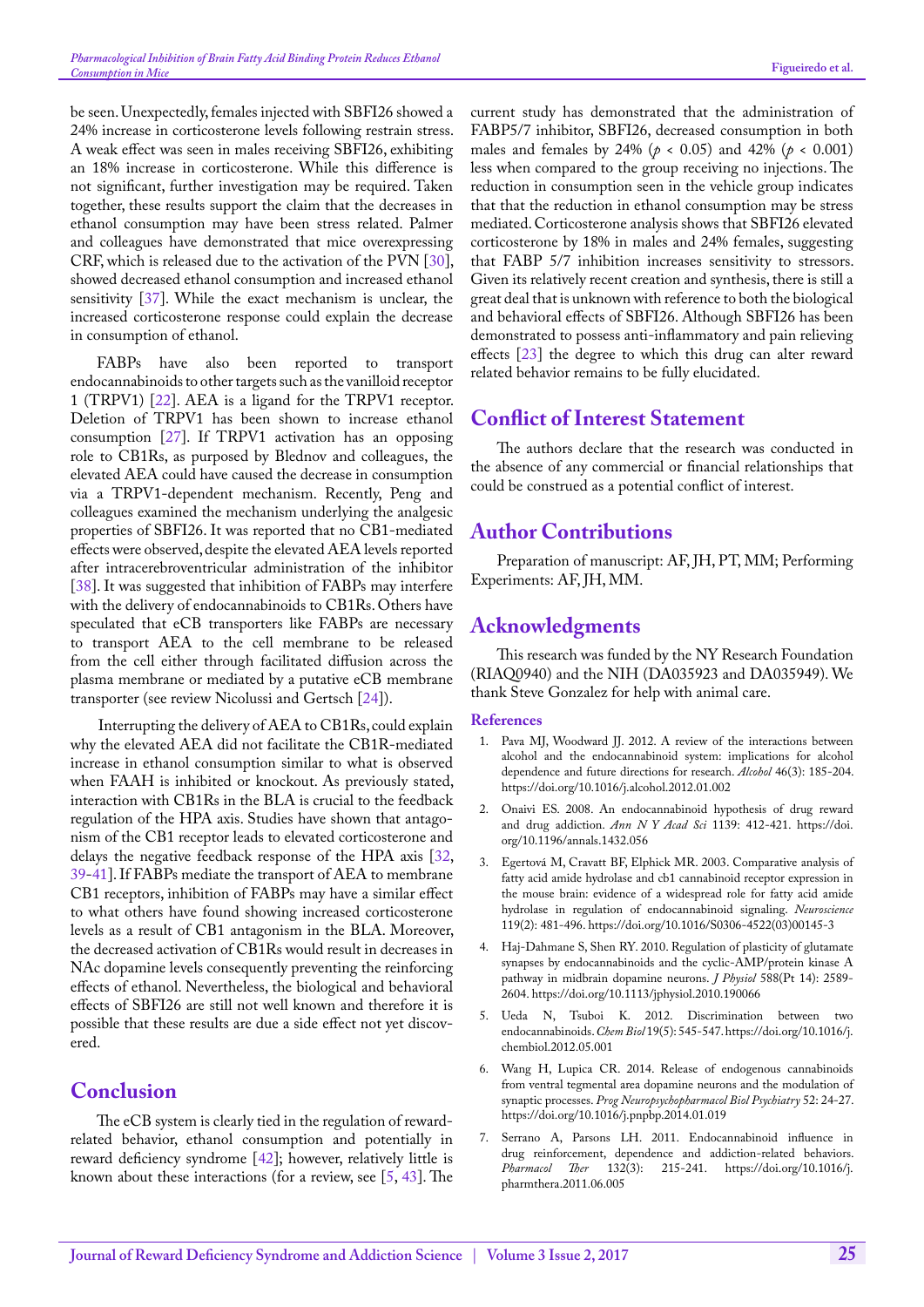be seen. Unexpectedly, females injected with SBFI26 showed a 24% increase in corticosterone levels following restrain stress. A weak effect was seen in males receiving SBFI26, exhibiting an 18% increase in corticosterone. While this difference is not significant, further investigation may be required. Taken together, these results support the claim that the decreases in ethanol consumption may have been stress related. Palmer and colleagues have demonstrated that mice overexpressing CRF, which is released due to the activation of the PVN [[30\]](#page-5-20), showed decreased ethanol consumption and increased ethanol sensitivity [\[37](#page-5-27)]. While the exact mechanism is unclear, the increased corticosterone response could explain the decrease in consumption of ethanol.

FABPs have also been reported to transport endocannabinoids to other targets such as the vanilloid receptor 1 (TRPV1) [\[22](#page-5-28)]. AEA is a ligand for the TRPV1 receptor. Deletion of TRPV1 has been shown to increase ethanol consumption [[27\]](#page-5-29). If TRPV1 activation has an opposing role to CB1Rs, as purposed by Blednov and colleagues, the elevated AEA could have caused the decrease in consumption via a TRPV1-dependent mechanism. Recently, Peng and colleagues examined the mechanism underlying the analgesic properties of SBFI26. It was reported that no CB1-mediated effects were observed, despite the elevated AEA levels reported after intracerebroventricular administration of the inhibitor [[38\]](#page-5-30). It was suggested that inhibition of FABPs may interfere with the delivery of endocannabinoids to CB1Rs. Others have speculated that eCB transporters like FABPs are necessary to transport AEA to the cell membrane to be released from the cell either through facilitated diffusion across the plasma membrane or mediated by a putative eCB membrane transporter (see review Nicolussi and Gertsch [[24\]](#page-5-15)).

Interrupting the delivery of AEA to CB1Rs, could explain why the elevated AEA did not facilitate the CB1R-mediated increase in ethanol consumption similar to what is observed when FAAH is inhibited or knockout. As previously stated, interaction with CB1Rs in the BLA is crucial to the feedback regulation of the HPA axis. Studies have shown that antagonism of the CB1 receptor leads to elevated corticosterone and delays the negative feedback response of the HPA axis [\[32](#page-5-22), [39](#page-5-31)[-41](#page-6-0)]. If FABPs mediate the transport of AEA to membrane CB1 receptors, inhibition of FABPs may have a similar effect to what others have found showing increased corticosterone levels as a result of CB1 antagonism in the BLA. Moreover, the decreased activation of CB1Rs would result in decreases in NAc dopamine levels consequently preventing the reinforcing effects of ethanol. Nevertheless, the biological and behavioral effects of SBFI26 are still not well known and therefore it is possible that these results are due a side effect not yet discovered.

### **Conclusion**

The eCB system is clearly tied in the regulation of rewardrelated behavior, ethanol consumption and potentially in reward deficiency syndrome [\[42](#page-6-1)]; however, relatively little is known about these interactions (for a review, see [\[5](#page-4-4), [43\]](#page-6-2). The

current study has demonstrated that the administration of FABP5/7 inhibitor, SBFI26, decreased consumption in both males and females by 24% (*p* < 0.05) and 42% (*p* < 0.001) less when compared to the group receiving no injections. The reduction in consumption seen in the vehicle group indicates that that the reduction in ethanol consumption may be stress mediated. Corticosterone analysis shows that SBFI26 elevated corticosterone by 18% in males and 24% females, suggesting that FABP 5/7 inhibition increases sensitivity to stressors. Given its relatively recent creation and synthesis, there is still a great deal that is unknown with reference to both the biological and behavioral effects of SBFI26. Although SBFI26 has been demonstrated to possess anti-inflammatory and pain relieving effects [\[23](#page-5-14)] the degree to which this drug can alter reward related behavior remains to be fully elucidated.

# **Conflict of Interest Statement**

The authors declare that the research was conducted in the absence of any commercial or financial relationships that could be construed as a potential conflict of interest.

# **Author Contributions**

Preparation of manuscript: AF, JH, PT, MM; Performing Experiments: AF, JH, MM.

# **Acknowledgments**

This research was funded by the NY Research Foundation (RIAQ0940) and the NIH (DA035923 and DA035949). We thank Steve Gonzalez for help with animal care.

### **References**

- <span id="page-4-0"></span>1. [Pava MJ, Woodward JJ. 2012. A review of the interactions between](https://www.ncbi.nlm.nih.gov/pubmed/22459871)  [alcohol and the endocannabinoid system: implications for alcohol](https://www.ncbi.nlm.nih.gov/pubmed/22459871)  [dependence and future directions for research.](https://www.ncbi.nlm.nih.gov/pubmed/22459871) *Alcohol* 46(3): 185-204. https://doi.org/10.1016/j.alcohol.2012.01.002
- <span id="page-4-1"></span>2. [Onaivi ES. 2008. An endocannabinoid hypothesis of drug reward](https://www.ncbi.nlm.nih.gov/pubmed/18991888)  [and drug addiction.](https://www.ncbi.nlm.nih.gov/pubmed/18991888) *Ann N Y Acad Sci* 1139: 412-421. https://doi. org/10.1196/annals.1432.056
- <span id="page-4-2"></span>3. [Egertová M, Cravatt BF, Elphick MR. 2003. Comparative analysis of](https://www.ncbi.nlm.nih.gov/pubmed/12770562)  [fatty acid amide hydrolase and cb1 cannabinoid receptor expression in](https://www.ncbi.nlm.nih.gov/pubmed/12770562)  [the mouse brain: evidence of a widespread role for fatty acid amide](https://www.ncbi.nlm.nih.gov/pubmed/12770562)  [hydrolase in regulation of endocannabinoid signaling.](https://www.ncbi.nlm.nih.gov/pubmed/12770562) *Neuroscience* [119\(2\): 481-496.](https://www.ncbi.nlm.nih.gov/pubmed/12770562) https://doi.org/10.1016/S0306-4522(03)00145-3
- <span id="page-4-3"></span>4. [Haj-Dahmane S, Shen RY. 2010. Regulation of plasticity of glutamate](https://www.ncbi.nlm.nih.gov/pubmed/20498231)  [synapses by endocannabinoids and the cyclic-AMP/protein kinase A](https://www.ncbi.nlm.nih.gov/pubmed/20498231)  [pathway in midbrain dopamine neurons.](https://www.ncbi.nlm.nih.gov/pubmed/20498231) *J Physiol* 588(Pt 14): 2589- [2604.](https://www.ncbi.nlm.nih.gov/pubmed/20498231) https://doi.org/10.1113/jphysiol.2010.190066
- <span id="page-4-4"></span>5. [Ueda N, Tsuboi K. 2012. Discrimination between two](http://www.sciencedirect.com/science/article/pii/S1074552112001445)  [endocannabinoids.](http://www.sciencedirect.com/science/article/pii/S1074552112001445) *Chem Biol* 19(5): 545-547. https://doi.org/10.1016/j. chembiol.2012.05.001
- <span id="page-4-5"></span>6. [Wang H, Lupica CR. 2014. Release of endogenous cannabinoids](https://www.ncbi.nlm.nih.gov/pubmed/24495779)  [from ventral tegmental area dopamine neurons and the modulation of](https://www.ncbi.nlm.nih.gov/pubmed/24495779)  synaptic processes. *[Prog Neuropsychopharmacol Biol Psychiatry](https://www.ncbi.nlm.nih.gov/pubmed/24495779)* 52: 24-27. https://doi.org/10.1016/j.pnpbp.2014.01.019
- 7. [Serrano A, Parsons LH. 2011. Endocannabinoid influence in](https://www.ncbi.nlm.nih.gov/pubmed/21798285)  [drug reinforcement, dependence and addiction-related behaviors.](https://www.ncbi.nlm.nih.gov/pubmed/21798285)  *Pharmacol Ther* [132\(3\): 215-241.](https://www.ncbi.nlm.nih.gov/pubmed/21798285) https://doi.org/10.1016/j. pharmthera.2011.06.005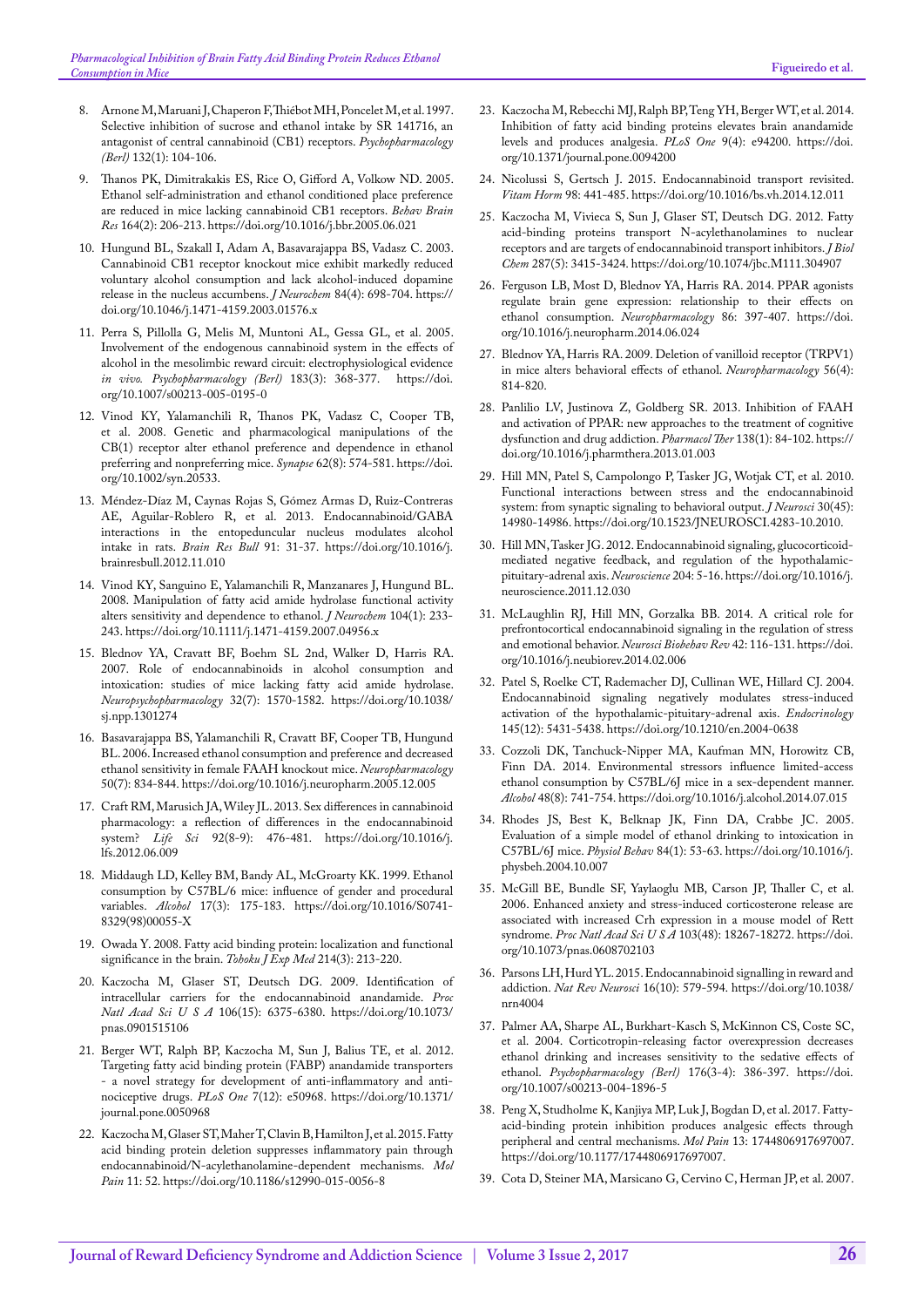- <span id="page-5-0"></span>8. [Arnone M, Maruani J, Chaperon F, Thiébot MH, Poncelet M, et al. 1997.](https://www.ncbi.nlm.nih.gov/pubmed/9272766)  [Selective inhibition of sucrose and ethanol intake by SR 141716, an](https://www.ncbi.nlm.nih.gov/pubmed/9272766)  [antagonist of central cannabinoid \(CB1\) receptors.](https://www.ncbi.nlm.nih.gov/pubmed/9272766) *Psychopharmacology (Berl)* [132\(1\): 104-106.](https://www.ncbi.nlm.nih.gov/pubmed/9272766)
- <span id="page-5-1"></span>9. [Thanos PK, Dimitrakakis ES, Rice O, Gifford A, Volkow ND. 2005.](https://www.ncbi.nlm.nih.gov/pubmed/16140402)  [Ethanol self-administration and ethanol conditioned place preference](https://www.ncbi.nlm.nih.gov/pubmed/16140402)  [are reduced in mice lacking cannabinoid CB1 receptors.](https://www.ncbi.nlm.nih.gov/pubmed/16140402) *Behav Brain Res* [164\(2\): 206-213.](https://www.ncbi.nlm.nih.gov/pubmed/16140402) https://doi.org/10.1016/j.bbr.2005.06.021
- <span id="page-5-2"></span>10. [Hungund BL, Szakall I, Adam A, Basavarajappa BS, Vadasz C. 2003.](https://www.ncbi.nlm.nih.gov/pubmed/12562514)  [Cannabinoid CB1 receptor knockout mice exhibit markedly reduced](https://www.ncbi.nlm.nih.gov/pubmed/12562514)  [voluntary alcohol consumption and lack alcohol-induced dopamine](https://www.ncbi.nlm.nih.gov/pubmed/12562514)  [release in the nucleus accumbens.](https://www.ncbi.nlm.nih.gov/pubmed/12562514) *J Neurochem* 84(4): 698-704. https:// doi.org/10.1046/j.1471-4159.2003.01576.x
- <span id="page-5-3"></span>11. [Perra S, Pillolla G, Melis M, Muntoni AL, Gessa GL, et al. 2005.](https://www.ncbi.nlm.nih.gov/pubmed/16228194)  [Involvement of the endogenous cannabinoid system in the effects of](https://www.ncbi.nlm.nih.gov/pubmed/16228194)  [alcohol in the mesolimbic reward circuit: electrophysiological evidence](https://www.ncbi.nlm.nih.gov/pubmed/16228194)  *in vivo. [Psychopharmacology \(Berl\)](https://www.ncbi.nlm.nih.gov/pubmed/16228194)* 183(3): 368-377. https://doi. org/10.1007/s00213-005-0195-0
- <span id="page-5-4"></span>12. [Vinod KY, Yalamanchili R, Thanos PK, Vadasz C, Cooper TB,](https://www.ncbi.nlm.nih.gov/pubmed/18509854)  [et al. 2008. Genetic and pharmacological manipulations of the](https://www.ncbi.nlm.nih.gov/pubmed/18509854)  [CB\(1\) receptor alter ethanol preference and dependence in ethanol](https://www.ncbi.nlm.nih.gov/pubmed/18509854)  [preferring and nonpreferring mice.](https://www.ncbi.nlm.nih.gov/pubmed/18509854) *Synapse* 62(8): 574-581. https://doi. org/10.1002/syn.20533.
- <span id="page-5-5"></span>13. [Méndez-Díaz M, Caynas Rojas S, Gómez Armas D, Ruiz-Contreras](https://www.ncbi.nlm.nih.gov/pubmed/23291357)  [AE, Aguilar-Roblero R, et al. 2013. Endocannabinoid/GABA](https://www.ncbi.nlm.nih.gov/pubmed/23291357)  [interactions in the entopeduncular nucleus modulates alcohol](https://www.ncbi.nlm.nih.gov/pubmed/23291357)  intake in rats. *[Brain Res Bull](https://www.ncbi.nlm.nih.gov/pubmed/23291357)* 91: 31-37. https://doi.org/10.1016/j. brainresbull.2012.11.010
- <span id="page-5-6"></span>14. [Vinod KY, Sanguino E, Yalamanchili R, Manzanares J, Hungund BL.](https://www.ncbi.nlm.nih.gov/pubmed/17944864)  [2008. Manipulation of fatty acid amide hydrolase functional activity](https://www.ncbi.nlm.nih.gov/pubmed/17944864)  [alters sensitivity and dependence to ethanol.](https://www.ncbi.nlm.nih.gov/pubmed/17944864) *J Neurochem* 104(1): 233- [243.](https://www.ncbi.nlm.nih.gov/pubmed/17944864) https://doi.org/10.1111/j.1471-4159.2007.04956.x
- <span id="page-5-7"></span>15. [Blednov YA, Cravatt BF, Boehm SL 2nd, Walker D, Harris RA.](https://www.ncbi.nlm.nih.gov/pubmed/17164820)  [2007. Role of endocannabinoids in alcohol consumption and](https://www.ncbi.nlm.nih.gov/pubmed/17164820)  [intoxication: studies of mice lacking fatty acid amide hydrolase.](https://www.ncbi.nlm.nih.gov/pubmed/17164820)  *[Neuropsychopharmacology](https://www.ncbi.nlm.nih.gov/pubmed/17164820)* 32(7): 1570-1582. https://doi.org/10.1038/ sj.npp.1301274
- <span id="page-5-8"></span>16. [Basavarajappa BS, Yalamanchili R, Cravatt BF, Cooper TB, Hungund](https://www.ncbi.nlm.nih.gov/pubmed/16448676)  [BL. 2006. Increased ethanol consumption and preference and decreased](https://www.ncbi.nlm.nih.gov/pubmed/16448676)  [ethanol sensitivity in female FAAH knockout mice.](https://www.ncbi.nlm.nih.gov/pubmed/16448676) *Neuropharmacology* [50\(7\): 834-844.](https://www.ncbi.nlm.nih.gov/pubmed/16448676) https://doi.org/10.1016/j.neuropharm.2005.12.005
- <span id="page-5-9"></span>17. [Craft RM, Marusich JA, Wiley JL. 2013. Sex differences in cannabinoid](https://www.ncbi.nlm.nih.gov/pubmed/22728714)  [pharmacology: a reflection of differences in the endocannabinoid](https://www.ncbi.nlm.nih.gov/pubmed/22728714)  system? *Life Sci* [92\(8-9\): 476-481.](https://www.ncbi.nlm.nih.gov/pubmed/22728714) https://doi.org/10.1016/j. lfs.2012.06.009
- <span id="page-5-10"></span>18. [Middaugh LD, Kelley BM, Bandy AL, McGroarty KK. 1999. Ethanol](https://www.ncbi.nlm.nih.gov/pubmed/10231165)  [consumption by C57BL/6 mice: influence of gender and procedural](https://www.ncbi.nlm.nih.gov/pubmed/10231165)  variables. *Alcohol* [17\(3\): 175-183.](https://www.ncbi.nlm.nih.gov/pubmed/10231165) https://doi.org/10.1016/S0741- 8329(98)00055-X
- <span id="page-5-11"></span>19. [Owada Y. 2008. Fatty acid binding protein: localization and functional](https://www.ncbi.nlm.nih.gov/pubmed/18323691)  [significance in the brain.](https://www.ncbi.nlm.nih.gov/pubmed/18323691) *Tohoku J Exp Med* 214(3): 213-220.
- <span id="page-5-12"></span>20. [Kaczocha M, Glaser ST, Deutsch DG. 2009. Identification of](https://www.ncbi.nlm.nih.gov/pubmed/19307565)  [intracellular carriers for the endocannabinoid anandamide.](https://www.ncbi.nlm.nih.gov/pubmed/19307565) *Proc Natl Acad Sci U S A* [106\(15\): 6375-6380.](https://www.ncbi.nlm.nih.gov/pubmed/19307565) https://doi.org/10.1073/ pnas.0901515106
- <span id="page-5-13"></span>21. [Berger WT, Ralph BP, Kaczocha M, Sun J, Balius TE, et al. 2012.](https://www.ncbi.nlm.nih.gov/pubmed/23236415)  [Targeting fatty acid binding protein \(FABP\) anandamide transporters](https://www.ncbi.nlm.nih.gov/pubmed/23236415)  [- a novel strategy for development of anti-inflammatory and anti](https://www.ncbi.nlm.nih.gov/pubmed/23236415)[nociceptive drugs.](https://www.ncbi.nlm.nih.gov/pubmed/23236415) *PLoS One* 7(12): e50968. https://doi.org/10.1371/ journal.pone.0050968
- <span id="page-5-28"></span>22. [Kaczocha M, Glaser ST, Maher T, Clavin B, Hamilton J, et al. 2015. Fatty](https://www.ncbi.nlm.nih.gov/pmc/articles/PMC4551694/)  [acid binding protein deletion suppresses inflammatory pain through](https://www.ncbi.nlm.nih.gov/pmc/articles/PMC4551694/)  [endocannabinoid/N-acylethanolamine-dependent mechanisms.](https://www.ncbi.nlm.nih.gov/pmc/articles/PMC4551694/) *Mol Pain* [11: 52.](https://www.ncbi.nlm.nih.gov/pmc/articles/PMC4551694/) https://doi.org/10.1186/s12990-015-0056-8
- <span id="page-5-14"></span>23. [Kaczocha M, Rebecchi MJ, Ralph BP, Teng YH, Berger WT, et al. 2014.](https://www.ncbi.nlm.nih.gov/pubmed/24705380)  [Inhibition of fatty acid binding proteins elevates brain anandamide](https://www.ncbi.nlm.nih.gov/pubmed/24705380)  [levels and produces analgesia.](https://www.ncbi.nlm.nih.gov/pubmed/24705380) *PLoS One* 9(4): e94200. https://doi. org/10.1371/journal.pone.0094200
- <span id="page-5-15"></span>24. [Nicolussi S, Gertsch J. 2015. Endocannabinoid transport revisited.](https://www.ncbi.nlm.nih.gov/pubmed/25817877)  *Vitam Horm* [98: 441-485.](https://www.ncbi.nlm.nih.gov/pubmed/25817877) https://doi.org/10.1016/bs.vh.2014.12.011
- <span id="page-5-16"></span>25. [Kaczocha M, Vivieca S, Sun J, Glaser ST, Deutsch DG. 2012. Fatty](https://www.ncbi.nlm.nih.gov/pubmed/22170058)  [acid-binding proteins transport N-acylethanolamines to nuclear](https://www.ncbi.nlm.nih.gov/pubmed/22170058)  [receptors and are targets of endocannabinoid transport inhibitors.](https://www.ncbi.nlm.nih.gov/pubmed/22170058) *J Biol Chem* [287\(5\): 3415-3424.](https://www.ncbi.nlm.nih.gov/pubmed/22170058) https://doi.org/10.1074/jbc.M111.304907
- <span id="page-5-17"></span>26. [Ferguson LB, Most D, Blednov YA, Harris RA. 2014. PPAR agonists](https://www.ncbi.nlm.nih.gov/pubmed/25036611)  [regulate brain gene expression: relationship to their effects on](https://www.ncbi.nlm.nih.gov/pubmed/25036611)  [ethanol consumption.](https://www.ncbi.nlm.nih.gov/pubmed/25036611) *Neuropharmacology* 86: 397-407. https://doi. org/10.1016/j.neuropharm.2014.06.024
- <span id="page-5-29"></span>27. [Blednov YA, Harris RA. 2009. Deletion of vanilloid receptor \(TRPV1\)](https://www.ncbi.nlm.nih.gov/pubmed/19705551)  [in mice alters behavioral effects of ethanol.](https://www.ncbi.nlm.nih.gov/pubmed/19705551) *Neuropharmacology* 56(4): [814-820.](https://www.ncbi.nlm.nih.gov/pubmed/19705551)
- <span id="page-5-18"></span>28. [Panlilio LV, Justinova Z, Goldberg SR. 2013. Inhibition of FAAH](https://www.ncbi.nlm.nih.gov/pubmed/23333350)  [and activation of PPAR: new approaches to the treatment of cognitive](https://www.ncbi.nlm.nih.gov/pubmed/23333350)  [dysfunction and drug addiction.](https://www.ncbi.nlm.nih.gov/pubmed/23333350) *Pharmacol Ther* 138(1): 84-102. https:// doi.org/10.1016/j.pharmthera.2013.01.003
- <span id="page-5-19"></span>29. [Hill MN, Patel S, Campolongo P, Tasker JG, Wotjak CT, et al. 2010.](https://www.ncbi.nlm.nih.gov/pubmed/21068301)  [Functional interactions between stress and the endocannabinoid](https://www.ncbi.nlm.nih.gov/pubmed/21068301)  [system: from synaptic signaling to behavioral output.](https://www.ncbi.nlm.nih.gov/pubmed/21068301) *J Neurosci* 30(45): [14980-14986.](https://www.ncbi.nlm.nih.gov/pubmed/21068301) https://doi.org/10.1523/JNEUROSCI.4283-10.2010.
- <span id="page-5-20"></span>30. [Hill MN, Tasker JG. 2012. Endocannabinoid signaling, glucocorticoid](https://www.ncbi.nlm.nih.gov/pubmed/22214537)[mediated negative feedback, and regulation of the hypothalamic](https://www.ncbi.nlm.nih.gov/pubmed/22214537)[pituitary-adrenal axis.](https://www.ncbi.nlm.nih.gov/pubmed/22214537) *Neuroscience* 204: 5-16. https://doi.org/10.1016/j. neuroscience.2011.12.030
- <span id="page-5-21"></span>31. [McLaughlin RJ, Hill MN, Gorzalka BB. 2014. A critical role for](https://www.ncbi.nlm.nih.gov/pubmed/24582908)  [prefrontocortical endocannabinoid signaling in the regulation of stress](https://www.ncbi.nlm.nih.gov/pubmed/24582908)  [and emotional behavior.](https://www.ncbi.nlm.nih.gov/pubmed/24582908) *Neurosci Biobehav Rev* 42: 116-131. https://doi. org/10.1016/j.neubiorev.2014.02.006
- <span id="page-5-22"></span>32. [Patel S, Roelke CT, Rademacher DJ, Cullinan WE, Hillard CJ. 2004.](https://www.ncbi.nlm.nih.gov/pubmed/15331569)  [Endocannabinoid signaling negatively modulates stress-induced](https://www.ncbi.nlm.nih.gov/pubmed/15331569)  [activation of the hypothalamic-pituitary-adrenal axis.](https://www.ncbi.nlm.nih.gov/pubmed/15331569) *Endocrinology* [145\(12\): 5431-5438.](https://www.ncbi.nlm.nih.gov/pubmed/15331569) https://doi.org/10.1210/en.2004-0638
- <span id="page-5-23"></span>33. [Cozzoli DK, Tanchuck-Nipper MA, Kaufman MN, Horowitz CB,](https://www.ncbi.nlm.nih.gov/pubmed/25459519)  [Finn DA. 2014. Environmental stressors influence limited-access](https://www.ncbi.nlm.nih.gov/pubmed/25459519)  [ethanol consumption by C57BL/6J mice in a sex-dependent manner.](https://www.ncbi.nlm.nih.gov/pubmed/25459519)  *Alcohol* [48\(8\): 741-754.](https://www.ncbi.nlm.nih.gov/pubmed/25459519) https://doi.org/10.1016/j.alcohol.2014.07.015
- <span id="page-5-24"></span>34. [Rhodes JS, Best K, Belknap JK, Finn DA, Crabbe JC. 2005.](https://www.ncbi.nlm.nih.gov/pubmed/15642607)  [Evaluation of a simple model of ethanol drinking to intoxication in](https://www.ncbi.nlm.nih.gov/pubmed/15642607)  [C57BL/6J mice.](https://www.ncbi.nlm.nih.gov/pubmed/15642607) *Physiol Behav* 84(1): 53-63. https://doi.org/10.1016/j. physbeh.2004.10.007
- <span id="page-5-25"></span>35. [McGill BE, Bundle SF, Yaylaoglu MB, Carson JP, Thaller C, et al.](https://www.ncbi.nlm.nih.gov/pubmed/17108082)  [2006. Enhanced anxiety and stress-induced corticosterone release are](https://www.ncbi.nlm.nih.gov/pubmed/17108082)  [associated with increased Crh expression in a mouse model of Rett](https://www.ncbi.nlm.nih.gov/pubmed/17108082)  syndrome. *[Proc Natl Acad Sci U S A](https://www.ncbi.nlm.nih.gov/pubmed/17108082)* 103(48): 18267-18272. https://doi. org/10.1073/pnas.0608702103
- <span id="page-5-26"></span>36. [Parsons LH, Hurd YL. 2015. Endocannabinoid signalling in reward and](https://www.ncbi.nlm.nih.gov/pubmed/26373473)  addiction. *Nat Rev Neurosci* [16\(10\): 579-594.](https://www.ncbi.nlm.nih.gov/pubmed/26373473) https://doi.org/10.1038/ nrn4004
- <span id="page-5-27"></span>37. [Palmer AA, Sharpe AL, Burkhart-Kasch S, McKinnon CS, Coste SC,](https://www.ncbi.nlm.nih.gov/pubmed/15138758)  [et al. 2004. Corticotropin-releasing factor overexpression decreases](https://www.ncbi.nlm.nih.gov/pubmed/15138758)  [ethanol drinking and increases sensitivity to the sedative effects of](https://www.ncbi.nlm.nih.gov/pubmed/15138758)  ethanol. *[Psychopharmacology \(Berl\)](https://www.ncbi.nlm.nih.gov/pubmed/15138758)* 176(3-4): 386-397. https://doi. org/10.1007/s00213-004-1896-5
- <span id="page-5-30"></span>38. [Peng X, Studholme K, Kanjiya MP, Luk J, Bogdan D, et al. 2017. Fatty](https://www.ncbi.nlm.nih.gov/pubmed/28326944)[acid-binding protein inhibition produces analgesic effects through](https://www.ncbi.nlm.nih.gov/pubmed/28326944)  [peripheral and central mechanisms.](https://www.ncbi.nlm.nih.gov/pubmed/28326944) *Mol Pain* 13: 1744806917697007. https://doi.org/10.1177/1744806917697007.
- <span id="page-5-31"></span>39. [Cota D, Steiner MA, Marsicano G, Cervino C, Herman JP, et al. 2007.](https://www.ncbi.nlm.nih.gov/pubmed/17194743)